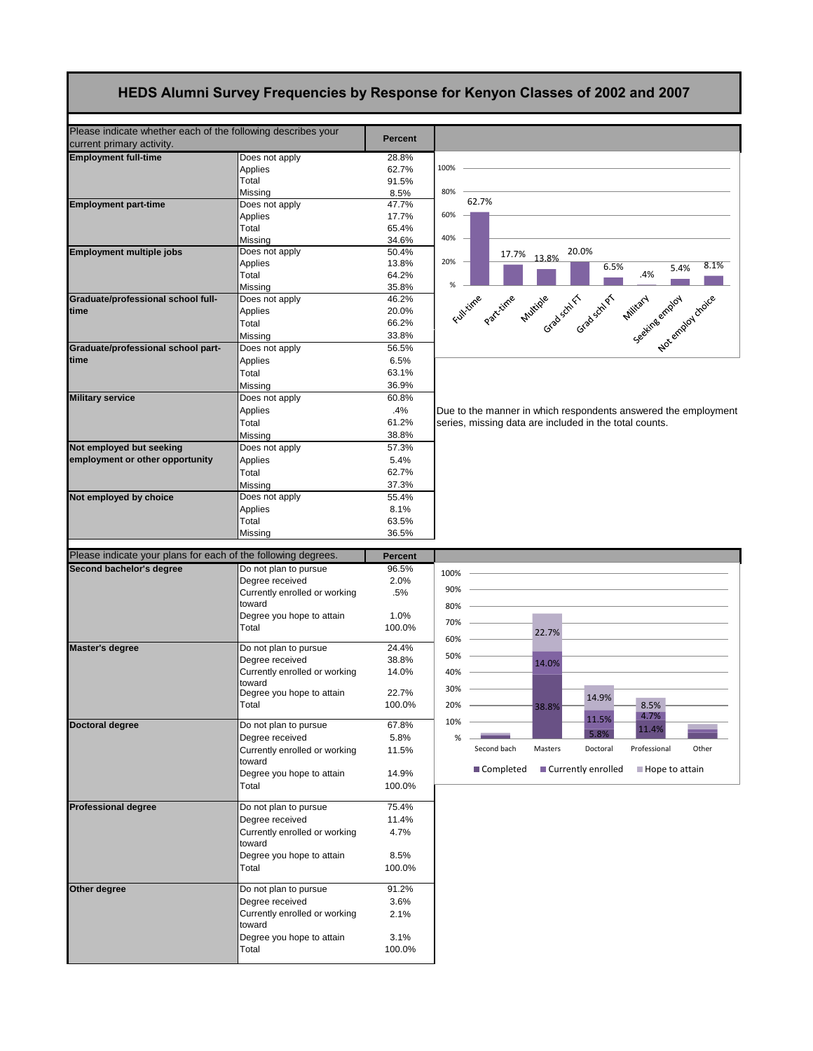## **HEDS Alumni Survey Frequencies by Response for Kenyon Classes of 2002 and 2007**

| Please indicate whether each of the following describes your<br>current primary activity. |                                          | <b>Percent</b> |                                                                         |
|-------------------------------------------------------------------------------------------|------------------------------------------|----------------|-------------------------------------------------------------------------|
| <b>Employment full-time</b>                                                               | Does not apply                           | 28.8%          |                                                                         |
|                                                                                           | Applies                                  | 62.7%          | 100%                                                                    |
|                                                                                           | Total                                    | 91.5%          |                                                                         |
|                                                                                           | Missing                                  | 8.5%           | 80%                                                                     |
| <b>Employment part-time</b>                                                               | Does not apply                           | 47.7%          | 62.7%                                                                   |
|                                                                                           | Applies                                  | 17.7%          | 60%                                                                     |
|                                                                                           | Total                                    | 65.4%          |                                                                         |
|                                                                                           | Missing                                  | 34.6%          | 40%                                                                     |
| Employment multiple jobs                                                                  | Does not apply                           | 50.4%          | 20.0%<br>17.7%<br>13.8%                                                 |
|                                                                                           | Applies                                  | 13.8%          | 20%<br>8.1%<br>6.5%<br>5.4%                                             |
|                                                                                           | Total                                    | 64.2%          | .4%                                                                     |
|                                                                                           | Missing                                  | 35.8%          | %                                                                       |
| Graduate/professional school full-                                                        | Does not apply                           | 46.2%          | Full tune partitine puttine Graduat Graduation<br>Seeking employ droice |
| time                                                                                      | Applies                                  | 20.0%          |                                                                         |
|                                                                                           | Total                                    | 66.2%          |                                                                         |
|                                                                                           | Missing                                  | 33.8%          |                                                                         |
| Graduate/professional school part-                                                        | Does not apply                           | 56.5%          |                                                                         |
| time                                                                                      | Applies                                  | 6.5%           |                                                                         |
|                                                                                           | Total                                    | 63.1%          |                                                                         |
|                                                                                           | Missing                                  | 36.9%          |                                                                         |
| <b>Military service</b>                                                                   | Does not apply                           | 60.8%          |                                                                         |
|                                                                                           | Applies                                  | .4%            | Due to the manner in which respondents answered the employment          |
|                                                                                           | Total                                    | 61.2%          | series, missing data are included in the total counts.                  |
|                                                                                           | Missing                                  | 38.8%          |                                                                         |
| Not employed but seeking                                                                  | Does not apply                           | 57.3%          |                                                                         |
| employment or other opportunity                                                           | Applies                                  | 5.4%           |                                                                         |
|                                                                                           | Total                                    | 62.7%          |                                                                         |
|                                                                                           |                                          | 37.3%          |                                                                         |
| Not employed by choice                                                                    | Missing<br>Does not apply                | 55.4%          |                                                                         |
|                                                                                           |                                          |                |                                                                         |
|                                                                                           | Applies<br>Total                         | 8.1%           |                                                                         |
|                                                                                           | Missing                                  | 63.5%<br>36.5% |                                                                         |
|                                                                                           |                                          |                |                                                                         |
|                                                                                           |                                          |                |                                                                         |
| Please indicate your plans for each of the following degrees.                             |                                          | <b>Percent</b> |                                                                         |
| Second bachelor's degree                                                                  | Do not plan to pursue                    | 96.5%          | 100%                                                                    |
|                                                                                           | Degree received                          | 2.0%           |                                                                         |
|                                                                                           | Currently enrolled or working            | .5%            | 90%                                                                     |
|                                                                                           | toward                                   |                | 80%                                                                     |
|                                                                                           | Degree you hope to attain                | 1.0%           | 70%                                                                     |
|                                                                                           | Total                                    | 100.0%         | 22.7%                                                                   |
| Master's degree                                                                           |                                          | 24.4%          | 60%                                                                     |
|                                                                                           | Do not plan to pursue<br>Degree received | 38.8%          | 50%                                                                     |
|                                                                                           | Currently enrolled or working            | 14.0%          | 14.0%<br>40%                                                            |
|                                                                                           | toward                                   |                |                                                                         |
|                                                                                           | Degree you hope to attain                | 22.7%          | 30%                                                                     |
|                                                                                           | Total                                    | 100.0%         | 14.9%<br>20%<br>8.5%<br>38.8%                                           |
|                                                                                           |                                          |                | 4.7%<br>11.5%                                                           |
| Doctoral degree                                                                           | Do not plan to pursue                    | 67.8%          | 10%<br>11.4%                                                            |
|                                                                                           | Degree received                          | 5.8%           | 5.8%<br>%                                                               |
|                                                                                           | Currently enrolled or working            | 11.5%          | Second bach<br>Masters<br>Doctoral<br>Professional<br>Other             |
|                                                                                           | toward                                   |                |                                                                         |
|                                                                                           | Degree you hope to attain                | 14.9%          | ■ Currently enrolled<br>Completed<br>Hope to attain                     |
|                                                                                           | Total                                    | 100.0%         |                                                                         |
|                                                                                           |                                          |                |                                                                         |
| <b>Professional degree</b>                                                                | Do not plan to pursue                    | 75.4%          |                                                                         |
|                                                                                           | Degree received                          | 11.4%          |                                                                         |
|                                                                                           | Currently enrolled or working            | 4.7%           |                                                                         |
|                                                                                           | toward                                   |                |                                                                         |
|                                                                                           | Degree you hope to attain                | 8.5%           |                                                                         |
|                                                                                           | Total                                    | 100.0%         |                                                                         |
| Other degree                                                                              | Do not plan to pursue                    | 91.2%          |                                                                         |
|                                                                                           | Degree received                          | 3.6%           |                                                                         |
|                                                                                           | Currently enrolled or working            | 2.1%           |                                                                         |
|                                                                                           | toward                                   |                |                                                                         |
|                                                                                           | Degree you hope to attain                | 3.1%           |                                                                         |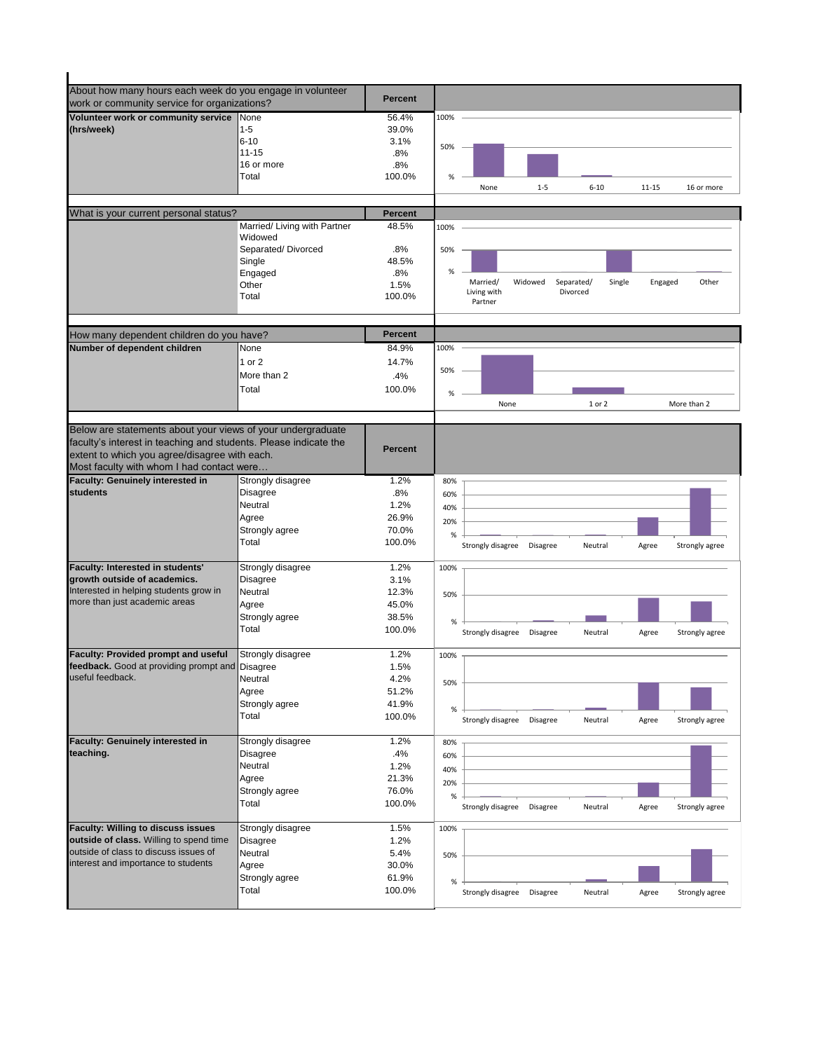| About how many hours each week do you engage in volunteer                |                              |                 |                                                                                            |
|--------------------------------------------------------------------------|------------------------------|-----------------|--------------------------------------------------------------------------------------------|
| work or community service for organizations?                             |                              | <b>Percent</b>  |                                                                                            |
| Volunteer work or community service None                                 |                              | 56.4%           | 100%                                                                                       |
| (hrs/week)                                                               | $1 - 5$                      | 39.0%           |                                                                                            |
|                                                                          | $6 - 10$                     | 3.1%            | 50%                                                                                        |
|                                                                          | $11 - 15$                    | .8%             |                                                                                            |
|                                                                          | 16 or more                   | .8%             |                                                                                            |
|                                                                          | Total                        | 100.0%          | %<br>$1 - 5$<br>$6 - 10$<br>$11 - 15$<br>16 or more<br>None                                |
|                                                                          |                              |                 |                                                                                            |
| What is your current personal status?                                    |                              | <b>Percent</b>  |                                                                                            |
|                                                                          | Married/ Living with Partner | 48.5%           | 100%                                                                                       |
|                                                                          | Widowed                      |                 |                                                                                            |
|                                                                          | Separated/Divorced           | .8%             | 50%                                                                                        |
|                                                                          | Single                       | 48.5%           |                                                                                            |
|                                                                          | Engaged                      | .8%             | %                                                                                          |
|                                                                          | Other                        | 1.5%            | Married/<br>Widowed<br>Separated/<br>Single<br>Engaged<br>Other<br>Living with<br>Divorced |
|                                                                          | Total                        | 100.0%          | Partner                                                                                    |
|                                                                          |                              |                 |                                                                                            |
|                                                                          |                              | <b>Percent</b>  |                                                                                            |
| How many dependent children do you have?<br>Number of dependent children | None                         | 84.9%           | 100%                                                                                       |
|                                                                          |                              |                 |                                                                                            |
|                                                                          | 1 or 2                       | 14.7%           | 50%                                                                                        |
|                                                                          | More than 2                  | .4%             |                                                                                            |
|                                                                          | Total                        | 100.0%          | %                                                                                          |
|                                                                          |                              |                 | None<br>1 or 2<br>More than 2                                                              |
|                                                                          |                              |                 |                                                                                            |
| Below are statements about your views of your undergraduate              |                              |                 |                                                                                            |
| faculty's interest in teaching and students. Please indicate the         |                              | <b>Percent</b>  |                                                                                            |
| extent to which you agree/disagree with each.                            |                              |                 |                                                                                            |
| Most faculty with whom I had contact were                                |                              |                 |                                                                                            |
| <b>Faculty: Genuinely interested in</b>                                  | Strongly disagree            | 1.2%            | 80%                                                                                        |
| <b>students</b>                                                          | <b>Disagree</b>              | .8%             | 60%                                                                                        |
|                                                                          | Neutral                      | 1.2%            | 40%                                                                                        |
|                                                                          | Agree                        | 26.9%           | 20%                                                                                        |
|                                                                          | Strongly agree<br>Total      | 70.0%           | %                                                                                          |
|                                                                          |                              | 100.0%          | Strongly disagree Disagree<br>Neutral<br>Agree<br>Strongly agree                           |
| Faculty: Interested in students'                                         | Strongly disagree            | 1.2%            | 100%                                                                                       |
| growth outside of academics.                                             | <b>Disagree</b>              | 3.1%            |                                                                                            |
| Interested in helping students grow in                                   | Neutral                      | 12.3%           | 50%                                                                                        |
| more than just academic areas                                            | Agree                        | 45.0%           |                                                                                            |
|                                                                          | Strongly agree               | 38.5%           |                                                                                            |
|                                                                          | Total                        | 100.0%          | %<br>Strongly disagree<br><b>Disagree</b><br>Neutral<br>Strongly agree                     |
|                                                                          |                              |                 | Agree                                                                                      |
| Faculty: Provided prompt and useful                                      | Strongly disagree            | 1.2%            | 100%                                                                                       |
| feedback. Good at providing prompt and Disagree                          |                              | 1.5%            |                                                                                            |
| useful feedback.                                                         | Neutral                      | 4.2%            | 50%                                                                                        |
|                                                                          | Agree                        | 51.2%           |                                                                                            |
|                                                                          | Strongly agree               | 41.9%           | $\%$                                                                                       |
|                                                                          | Total                        | 100.0%          | Strongly disagree<br><b>Disagree</b><br>Neutral<br>Strongly agree<br>Agree                 |
|                                                                          |                              |                 |                                                                                            |
| <b>Faculty: Genuinely interested in</b>                                  | Strongly disagree            | 1.2%            | 80%                                                                                        |
| teaching.                                                                | <b>Disagree</b>              | .4%             | 60%                                                                                        |
|                                                                          | Neutral                      | 1.2%            | 40%                                                                                        |
|                                                                          | Agree                        | 21.3%           | 20%                                                                                        |
|                                                                          | Strongly agree<br>Total      | 76.0%<br>100.0% | %                                                                                          |
|                                                                          |                              |                 | Strongly disagree<br>Disagree<br>Neutral<br>Agree<br>Strongly agree                        |
| Faculty: Willing to discuss issues                                       | Strongly disagree            | 1.5%            | 100%                                                                                       |
| outside of class. Willing to spend time                                  | <b>Disagree</b>              | 1.2%            |                                                                                            |
| outside of class to discuss issues of                                    | Neutral                      | 5.4%            | 50%                                                                                        |
| interest and importance to students                                      | Agree                        | 30.0%           |                                                                                            |
|                                                                          | Strongly agree               | 61.9%           | $\%$                                                                                       |
|                                                                          | Total                        | 100.0%          | Strongly disagree<br>Disagree<br>Neutral<br>Agree<br>Strongly agree                        |
|                                                                          |                              |                 |                                                                                            |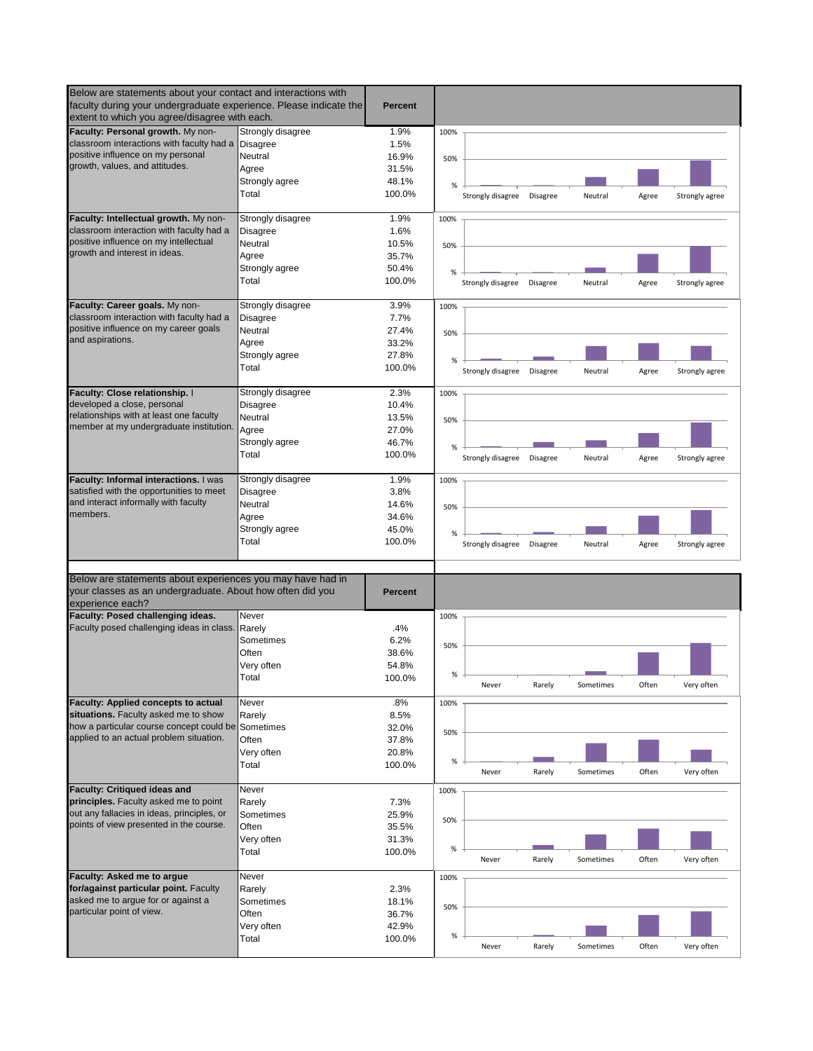| Below are statements about your contact and interactions with<br>faculty during your undergraduate experience. Please indicate the<br>extent to which you agree/disagree with each. |                     | <b>Percent</b>  |      |                            |                 |           |       |                |
|-------------------------------------------------------------------------------------------------------------------------------------------------------------------------------------|---------------------|-----------------|------|----------------------------|-----------------|-----------|-------|----------------|
| Faculty: Personal growth. My non-                                                                                                                                                   | Strongly disagree   | 1.9%            | 100% |                            |                 |           |       |                |
| classroom interactions with faculty had a Disagree                                                                                                                                  |                     | 1.5%            |      |                            |                 |           |       |                |
| positive influence on my personal                                                                                                                                                   | Neutral             | 16.9%           | 50%  |                            |                 |           |       |                |
| growth, values, and attitudes.                                                                                                                                                      | Agree               | 31.5%           |      |                            |                 |           |       |                |
|                                                                                                                                                                                     | Strongly agree      | 48.1%           |      |                            |                 |           |       |                |
|                                                                                                                                                                                     | Total               | 100.0%          | %    |                            |                 |           |       |                |
|                                                                                                                                                                                     |                     |                 |      | Strongly disagree          | <b>Disagree</b> | Neutral   | Agree | Strongly agree |
| Faculty: Intellectual growth. My non-                                                                                                                                               | Strongly disagree   | 1.9%            | 100% |                            |                 |           |       |                |
| classroom interaction with faculty had a                                                                                                                                            | <b>Disagree</b>     | 1.6%            |      |                            |                 |           |       |                |
| positive influence on my intellectual                                                                                                                                               | Neutral             | 10.5%           | 50%  |                            |                 |           |       |                |
| growth and interest in ideas.                                                                                                                                                       | Agree               | 35.7%           |      |                            |                 |           |       |                |
|                                                                                                                                                                                     | Strongly agree      | 50.4%           | %    |                            |                 |           |       |                |
|                                                                                                                                                                                     | Total               | 100.0%          |      | Strongly disagree Disagree |                 | Neutral   | Agree | Strongly agree |
| Faculty: Career goals. My non-                                                                                                                                                      | Strongly disagree   | 3.9%            | 100% |                            |                 |           |       |                |
| classroom interaction with faculty had a                                                                                                                                            | <b>Disagree</b>     | 7.7%            |      |                            |                 |           |       |                |
| positive influence on my career goals                                                                                                                                               | Neutral             | 27.4%           |      |                            |                 |           |       |                |
| and aspirations.                                                                                                                                                                    | Agree               | 33.2%           | 50%  |                            |                 |           |       |                |
|                                                                                                                                                                                     | Strongly agree      | 27.8%           |      |                            |                 |           |       |                |
|                                                                                                                                                                                     |                     |                 | %    |                            |                 |           |       |                |
|                                                                                                                                                                                     | Total               | 100.0%          |      | Strongly disagree          | <b>Disagree</b> | Neutral   | Agree | Strongly agree |
| Faculty: Close relationship. I                                                                                                                                                      | Strongly disagree   | 2.3%            | 100% |                            |                 |           |       |                |
| developed a close, personal                                                                                                                                                         | <b>Disagree</b>     | 10.4%           |      |                            |                 |           |       |                |
| relationships with at least one faculty                                                                                                                                             | Neutral             | 13.5%           | 50%  |                            |                 |           |       |                |
| member at my undergraduate institution.                                                                                                                                             | Agree               | 27.0%           |      |                            |                 |           |       |                |
|                                                                                                                                                                                     | Strongly agree      | 46.7%           |      |                            |                 |           |       |                |
|                                                                                                                                                                                     | Total               | 100.0%          | %    |                            |                 |           |       |                |
|                                                                                                                                                                                     |                     |                 |      | Strongly disagree          | Disagree        | Neutral   | Agree | Strongly agree |
| Faculty: Informal interactions. I was                                                                                                                                               | Strongly disagree   | 1.9%            | 100% |                            |                 |           |       |                |
| satisfied with the opportunities to meet                                                                                                                                            | <b>Disagree</b>     | 3.8%            |      |                            |                 |           |       |                |
| and interact informally with faculty                                                                                                                                                | Neutral             | 14.6%           | 50%  |                            |                 |           |       |                |
| members.                                                                                                                                                                            | Agree               | 34.6%           |      |                            |                 |           |       |                |
|                                                                                                                                                                                     | Strongly agree      | 45.0%           | %    |                            |                 |           |       |                |
|                                                                                                                                                                                     | Total               | 100.0%          |      | Strongly disagree          | Disagree        | Neutral   | Agree | Strongly agree |
| Below are statements about experiences you may have had in<br>your classes as an undergraduate. About how often did you<br>experience each?                                         |                     | <b>Percent</b>  |      |                            |                 |           |       |                |
| Faculty: Posed challenging ideas.                                                                                                                                                   | Never               |                 | 100% |                            |                 |           |       |                |
| Faculty posed challenging ideas in class. Rarely                                                                                                                                    |                     | .4%             |      |                            |                 |           |       |                |
|                                                                                                                                                                                     | Sometimes           | 6.2%            | 50%  |                            |                 |           |       |                |
|                                                                                                                                                                                     | Often               | 38.6%           |      |                            |                 |           |       |                |
|                                                                                                                                                                                     | Very often          | 54.8%           |      |                            |                 |           |       |                |
|                                                                                                                                                                                     | Total               | 100.0%          | %    | Never                      | Rarely          | Sometimes | Often | Very often     |
| <b>Faculty: Applied concepts to actual</b>                                                                                                                                          | Never               | .8%             | 100% |                            |                 |           |       |                |
| situations. Faculty asked me to show                                                                                                                                                | Rarely              | 8.5%            |      |                            |                 |           |       |                |
| how a particular course concept could be Sometimes                                                                                                                                  |                     | 32.0%           |      |                            |                 |           |       |                |
| applied to an actual problem situation.                                                                                                                                             | Often               | 37.8%           | 50%  |                            |                 |           |       |                |
|                                                                                                                                                                                     | Very often          | 20.8%           |      |                            |                 |           |       |                |
|                                                                                                                                                                                     | Total               | 100.0%          | $\%$ |                            |                 |           |       |                |
|                                                                                                                                                                                     |                     |                 |      | Never                      | Rarely          | Sometimes | Often | Very often     |
| <b>Faculty: Critiqued ideas and</b>                                                                                                                                                 | Never               |                 | 100% |                            |                 |           |       |                |
| principles. Faculty asked me to point                                                                                                                                               | Rarely              | 7.3%            |      |                            |                 |           |       |                |
| out any fallacies in ideas, principles, or                                                                                                                                          | Sometimes           | 25.9%           | 50%  |                            |                 |           |       |                |
| points of view presented in the course.                                                                                                                                             | Often               | 35.5%           |      |                            |                 |           |       |                |
|                                                                                                                                                                                     | Very often          | 31.3%           |      |                            |                 |           |       |                |
|                                                                                                                                                                                     | Total               | 100.0%          | %    | Never                      | Rarely          | Sometimes | Often | Very often     |
| Faculty: Asked me to argue                                                                                                                                                          | Never               |                 | 100% |                            |                 |           |       |                |
| for/against particular point. Faculty                                                                                                                                               | Rarely              | 2.3%            |      |                            |                 |           |       |                |
| asked me to argue for or against a                                                                                                                                                  | Sometimes           | 18.1%           |      |                            |                 |           |       |                |
| particular point of view.                                                                                                                                                           |                     |                 | 50%  |                            |                 |           |       |                |
|                                                                                                                                                                                     | Often               | 36.7%           |      |                            |                 |           |       |                |
|                                                                                                                                                                                     | Very often<br>Total | 42.9%<br>100.0% | $\%$ |                            |                 |           |       |                |
|                                                                                                                                                                                     |                     |                 |      | Never                      | Rarely          | Sometimes | Often | Very often     |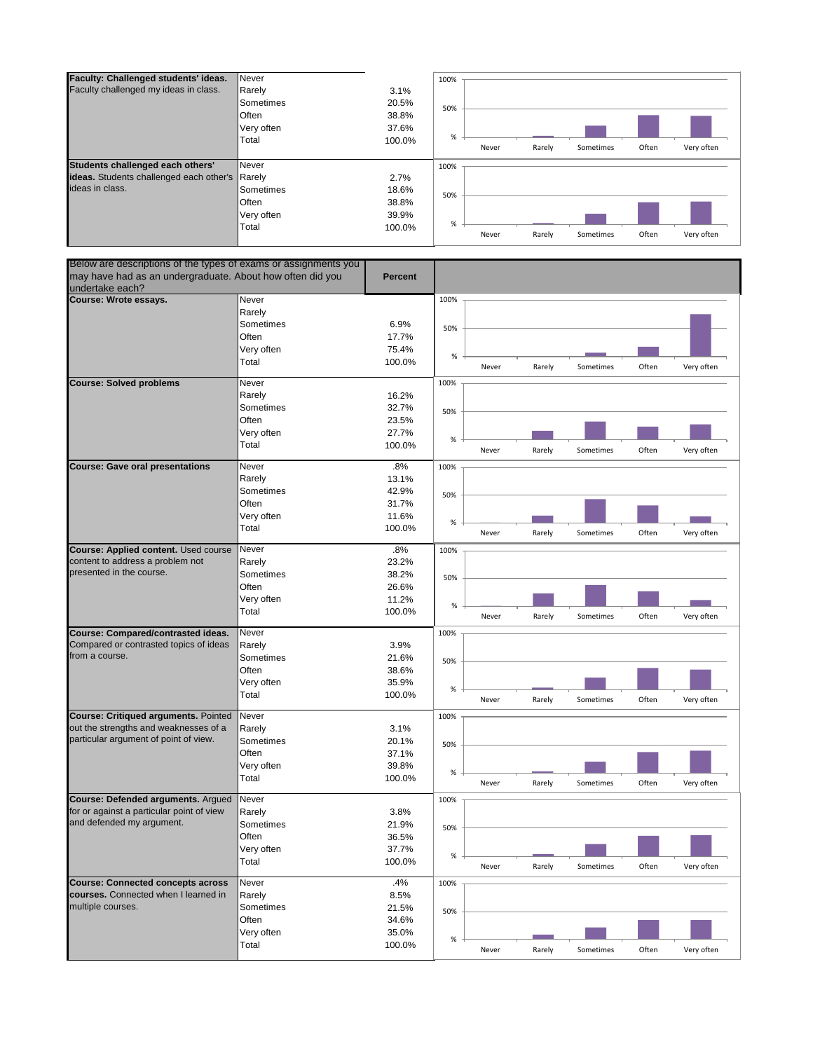

| Below are descriptions of the types of exams or assignments you |                     |                |      |       |        |           |       |            |
|-----------------------------------------------------------------|---------------------|----------------|------|-------|--------|-----------|-------|------------|
| may have had as an undergraduate. About how often did you       |                     | <b>Percent</b> |      |       |        |           |       |            |
| undertake each?                                                 |                     |                |      |       |        |           |       |            |
| <b>Course: Wrote essays.</b>                                    | Never               |                | 100% |       |        |           |       |            |
|                                                                 | Rarely              |                |      |       |        |           |       |            |
|                                                                 | Sometimes           | 6.9%           | 50%  |       |        |           |       |            |
|                                                                 | Often               | 17.7%          |      |       |        |           |       |            |
|                                                                 | Very often          | 75.4%          | %    |       |        |           |       |            |
|                                                                 | Total               | 100.0%         |      | Never | Rarely | Sometimes | Often | Very often |
| <b>Course: Solved problems</b>                                  | Never               |                | 100% |       |        |           |       |            |
|                                                                 | Rarely              | 16.2%          |      |       |        |           |       |            |
|                                                                 | Sometimes           | 32.7%          |      |       |        |           |       |            |
|                                                                 | Often               | 23.5%          | 50%  |       |        |           |       |            |
|                                                                 | Very often          | 27.7%          |      |       |        |           |       |            |
|                                                                 | Total               | 100.0%         | %    |       |        |           |       |            |
|                                                                 |                     |                |      | Never | Rarely | Sometimes | Often | Very often |
| <b>Course: Gave oral presentations</b>                          | Never               | .8%            | 100% |       |        |           |       |            |
|                                                                 | Rarely              | 13.1%          |      |       |        |           |       |            |
|                                                                 | Sometimes           | 42.9%          | 50%  |       |        |           |       |            |
|                                                                 | Often               | 31.7%          |      |       |        |           |       |            |
|                                                                 | Very often          | 11.6%          | %    |       |        |           |       |            |
|                                                                 | Total               | 100.0%         |      | Never | Rarely | Sometimes | Often | Very often |
| Course: Applied content. Used course                            | Never               | .8%            | 100% |       |        |           |       |            |
| content to address a problem not                                | Rarely              | 23.2%          |      |       |        |           |       |            |
| presented in the course.                                        | Sometimes           | 38.2%          |      |       |        |           |       |            |
|                                                                 | Often               | 26.6%          | 50%  |       |        |           |       |            |
|                                                                 |                     |                |      |       |        |           |       |            |
|                                                                 | Very often          | 11.2%          | $\%$ |       |        |           |       |            |
|                                                                 | Total               | 100.0%         |      | Never | Rarely | Sometimes | Often | Very often |
| Course: Compared/contrasted ideas.                              | Never               |                | 100% |       |        |           |       |            |
| Compared or contrasted topics of ideas                          | Rarely              | 3.9%           |      |       |        |           |       |            |
| from a course.                                                  | Sometimes           | 21.6%          | 50%  |       |        |           |       |            |
|                                                                 | Often               | 38.6%          |      |       |        |           |       |            |
|                                                                 | Very often          | 35.9%          |      |       |        |           |       |            |
|                                                                 | Total               | 100.0%         | %    |       |        |           |       |            |
|                                                                 |                     |                |      | Never | Rarely | Sometimes | Often | Very often |
| Course: Critiqued arguments. Pointed                            | Never               |                | 100% |       |        |           |       |            |
| out the strengths and weaknesses of a                           | Rarely              | 3.1%           |      |       |        |           |       |            |
| particular argument of point of view.                           | Sometimes           | 20.1%          | 50%  |       |        |           |       |            |
|                                                                 | Often               | 37.1%          |      |       |        |           |       |            |
|                                                                 | Very often          | 39.8%          | %    |       |        |           |       |            |
|                                                                 | Total               | 100.0%         |      | Never | Rarely | Sometimes | Often | Very often |
| Course: Defended arguments. Argued                              | Never               |                | 100% |       |        |           |       |            |
| for or against a particular point of view                       | Rarely              | 3.8%           |      |       |        |           |       |            |
| and defended my argument.                                       | Sometimes           | 21.9%          |      |       |        |           |       |            |
|                                                                 | Often               | 36.5%          | 50%  |       |        |           |       |            |
|                                                                 |                     | 37.7%          |      |       |        |           |       |            |
|                                                                 | Very often<br>Total | 100.0%         | $\%$ |       |        |           |       |            |
|                                                                 |                     |                |      | Never | Rarely | Sometimes | Often | Very often |
| <b>Course: Connected concepts across</b>                        | Never               | .4%            | 100% |       |        |           |       |            |
| courses. Connected when I learned in                            | Rarely              | 8.5%           |      |       |        |           |       |            |
| multiple courses.                                               | Sometimes           | 21.5%          | 50%  |       |        |           |       |            |
|                                                                 | Often               | 34.6%          |      |       |        |           |       |            |
|                                                                 | Very often          | 35.0%          | %    |       |        |           |       |            |
|                                                                 | Total               | 100.0%         |      | Never | Rarely | Sometimes | Often | Very often |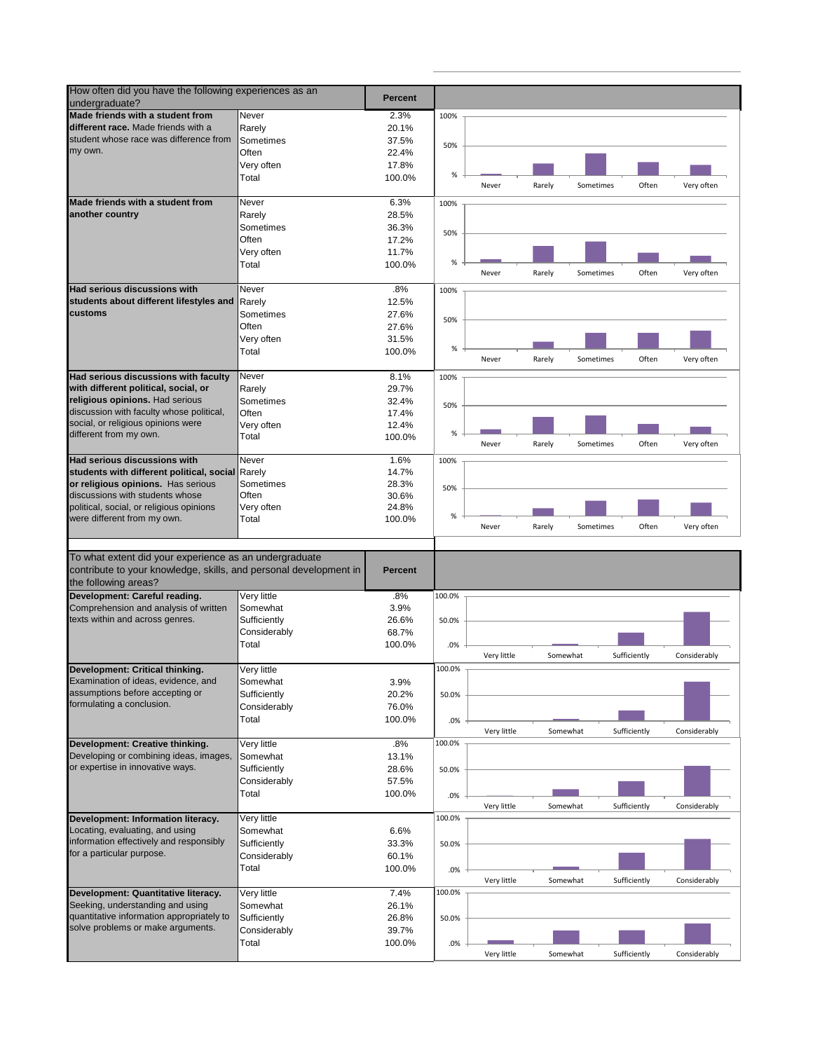| How often did you have the following experiences as an<br>undergraduate?                                                                            |              | <b>Percent</b> |        |             |          |           |              |              |
|-----------------------------------------------------------------------------------------------------------------------------------------------------|--------------|----------------|--------|-------------|----------|-----------|--------------|--------------|
| Made friends with a student from                                                                                                                    | Never        | 2.3%           | 100%   |             |          |           |              |              |
| different race. Made friends with a                                                                                                                 | Rarely       | 20.1%          |        |             |          |           |              |              |
| student whose race was difference from                                                                                                              | Sometimes    | 37.5%          | 50%    |             |          |           |              |              |
| my own.                                                                                                                                             | Often        | 22.4%          |        |             |          |           |              |              |
|                                                                                                                                                     | Very often   | 17.8%          |        |             |          |           |              |              |
|                                                                                                                                                     | Total        | 100.0%         | $\%$   |             |          |           |              |              |
|                                                                                                                                                     |              |                |        | Never       | Rarely   | Sometimes | Often        | Very often   |
| Made friends with a student from                                                                                                                    | Never        | 6.3%           | 100%   |             |          |           |              |              |
| another country                                                                                                                                     | Rarely       | 28.5%          |        |             |          |           |              |              |
|                                                                                                                                                     | Sometimes    | 36.3%          |        |             |          |           |              |              |
|                                                                                                                                                     | Often        | 17.2%          | 50%    |             |          |           |              |              |
|                                                                                                                                                     | Very often   | 11.7%          |        |             |          |           |              |              |
|                                                                                                                                                     | Total        | 100.0%         | $\%$   |             |          |           |              |              |
|                                                                                                                                                     |              |                |        | Never       | Rarely   | Sometimes | Often        | Very often   |
| Had serious discussions with                                                                                                                        | Never        | .8%            |        |             |          |           |              |              |
| students about different lifestyles and                                                                                                             |              | 12.5%          | 100%   |             |          |           |              |              |
| customs                                                                                                                                             | Rarely       |                |        |             |          |           |              |              |
|                                                                                                                                                     | Sometimes    | 27.6%          | 50%    |             |          |           |              |              |
|                                                                                                                                                     | Often        | 27.6%          |        |             |          |           |              |              |
|                                                                                                                                                     | Very often   | 31.5%          |        |             |          |           |              |              |
|                                                                                                                                                     | Total        | 100.0%         | %      | Never       | Rarely   | Sometimes | Often        | Very often   |
|                                                                                                                                                     |              |                |        |             |          |           |              |              |
| Had serious discussions with faculty                                                                                                                | Never        | 8.1%           | 100%   |             |          |           |              |              |
| with different political, social, or                                                                                                                | Rarely       | 29.7%          |        |             |          |           |              |              |
| religious opinions. Had serious                                                                                                                     | Sometimes    | 32.4%          | 50%    |             |          |           |              |              |
| discussion with faculty whose political,                                                                                                            | Often        | 17.4%          |        |             |          |           |              |              |
| social, or religious opinions were                                                                                                                  | Very often   | 12.4%          |        |             |          |           |              |              |
| different from my own.                                                                                                                              | Total        | 100.0%         | %      | Never       | Rarely   | Sometimes | Often        | Very often   |
|                                                                                                                                                     |              |                |        |             |          |           |              |              |
| Had serious discussions with                                                                                                                        | Never        | 1.6%           | 100%   |             |          |           |              |              |
| students with different political, social Rarely                                                                                                    |              | 14.7%          |        |             |          |           |              |              |
| or religious opinions. Has serious                                                                                                                  | Sometimes    | 28.3%          | 50%    |             |          |           |              |              |
| discussions with students whose                                                                                                                     | Often        | 30.6%          |        |             |          |           |              |              |
| political, social, or religious opinions                                                                                                            | Very often   | 24.8%          |        |             |          |           |              |              |
| were different from my own.                                                                                                                         | Total        | 100.0%         | %      | Never       | Rarely   | Sometimes | Often        | Very often   |
|                                                                                                                                                     |              |                |        |             |          |           |              |              |
| To what extent did your experience as an undergraduate<br>contribute to your knowledge, skills, and personal development in<br>the following areas? |              | <b>Percent</b> |        |             |          |           |              |              |
| Development: Careful reading.                                                                                                                       | Very little  | .8%            | 100.0% |             |          |           |              |              |
| Comprehension and analysis of written                                                                                                               | Somewhat     | 3.9%           |        |             |          |           |              |              |
| texts within and across genres.                                                                                                                     | Sufficiently | 26.6%          | 50.0%  |             |          |           |              |              |
|                                                                                                                                                     | Considerably | 68.7%          |        |             |          |           |              |              |
|                                                                                                                                                     | Total        | 100.0%         | .0%    |             |          |           |              |              |
|                                                                                                                                                     |              |                |        | Very little | Somewhat |           | Sufficiently | Considerably |
| Development: Critical thinking.                                                                                                                     | Very little  |                | 100.0% |             |          |           |              |              |
| Examination of ideas, evidence, and                                                                                                                 | Somewhat     | 3.9%           |        |             |          |           |              |              |
| assumptions before accepting or                                                                                                                     | Sufficiently | 20.2%          | 50.0%  |             |          |           |              |              |
| formulating a conclusion.                                                                                                                           | Considerably | 76.0%          |        |             |          |           |              |              |
|                                                                                                                                                     | Total        | 100.0%         | .0%    |             |          |           |              |              |
|                                                                                                                                                     |              |                |        | Very little | Somewhat |           | Sufficiently | Considerably |
| Development: Creative thinking.                                                                                                                     | Very little  |                |        |             |          |           |              |              |
| Developing or combining ideas, images,                                                                                                              |              |                | 100.0% |             |          |           |              |              |
|                                                                                                                                                     |              | .8%            |        |             |          |           |              |              |
| or expertise in innovative ways.                                                                                                                    | Somewhat     | 13.1%          |        |             |          |           |              |              |
|                                                                                                                                                     | Sufficiently | 28.6%          | 50.0%  |             |          |           |              |              |
|                                                                                                                                                     | Considerably | 57.5%          |        |             |          |           |              |              |
|                                                                                                                                                     | Total        | 100.0%         | .0%    |             |          |           |              |              |
|                                                                                                                                                     |              |                |        | Very little | Somewhat |           | Sufficiently | Considerably |
|                                                                                                                                                     | Very little  |                | 100.0% |             |          |           |              |              |
| Locating, evaluating, and using                                                                                                                     | Somewhat     | 6.6%           |        |             |          |           |              |              |
| information effectively and responsibly                                                                                                             | Sufficiently | 33.3%          | 50.0%  |             |          |           |              |              |
| for a particular purpose.                                                                                                                           | Considerably | 60.1%          |        |             |          |           |              |              |
|                                                                                                                                                     | Total        | 100.0%         | .0%    |             |          |           |              |              |
|                                                                                                                                                     |              |                |        | Very little | Somewhat |           | Sufficiently | Considerably |
|                                                                                                                                                     | Very little  | 7.4%           | 100.0% |             |          |           |              |              |
| Development: Information literacy.<br>Development: Quantitative literacy.<br>Seeking, understanding and using                                       | Somewhat     | 26.1%          |        |             |          |           |              |              |
| quantitative information appropriately to                                                                                                           | Sufficiently | 26.8%          | 50.0%  |             |          |           |              |              |
| solve problems or make arguments.                                                                                                                   | Considerably | 39.7%          |        |             |          |           |              |              |
|                                                                                                                                                     | Total        | 100.0%         | .0%    | Very little | Somewhat |           | Sufficiently | Considerably |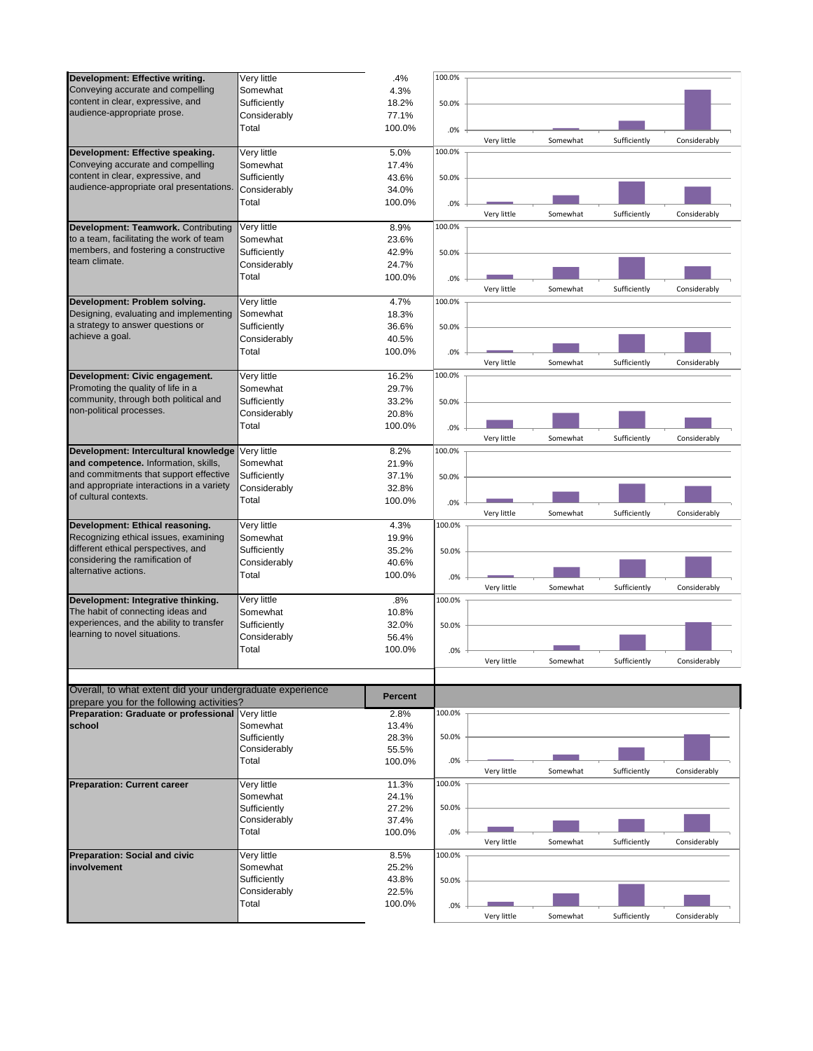| Development: Effective writing.                           | Very little  | .4%            | 100.0% |             |          |              |              |
|-----------------------------------------------------------|--------------|----------------|--------|-------------|----------|--------------|--------------|
| Conveying accurate and compelling                         |              |                |        |             |          |              |              |
|                                                           | Somewhat     | 4.3%           |        |             |          |              |              |
| content in clear, expressive, and                         | Sufficiently | 18.2%          | 50.0%  |             |          |              |              |
| audience-appropriate prose.                               | Considerably | 77.1%          |        |             |          |              |              |
|                                                           | Total        | 100.0%         | .0%    |             |          |              |              |
|                                                           |              |                |        | Very little | Somewhat | Sufficiently | Considerably |
| Development: Effective speaking.                          | Very little  | 5.0%           | 100.0% |             |          |              |              |
| Conveying accurate and compelling                         | Somewhat     |                |        |             |          |              |              |
|                                                           |              | 17.4%          |        |             |          |              |              |
| content in clear, expressive, and                         | Sufficiently | 43.6%          | 50.0%  |             |          |              |              |
| audience-appropriate oral presentations                   | Considerably | 34.0%          |        |             |          |              |              |
|                                                           | Total        | 100.0%         | .0%    |             |          |              |              |
|                                                           |              |                |        | Very little | Somewhat | Sufficiently | Considerably |
| Development: Teamwork. Contributing                       | Very little  | 8.9%           | 100.0% |             |          |              |              |
| to a team, facilitating the work of team                  | Somewhat     | 23.6%          |        |             |          |              |              |
| members, and fostering a constructive                     |              |                |        |             |          |              |              |
| team climate.                                             | Sufficiently | 42.9%          | 50.0%  |             |          |              |              |
|                                                           | Considerably | 24.7%          |        |             |          |              |              |
|                                                           | Total        | 100.0%         | .0%    |             |          |              |              |
|                                                           |              |                |        | Very little | Somewhat | Sufficiently | Considerably |
| Development: Problem solving.                             | Very little  | 4.7%           | 100.0% |             |          |              |              |
| Designing, evaluating and implementing                    | Somewhat     | 18.3%          |        |             |          |              |              |
| a strategy to answer questions or                         |              |                |        |             |          |              |              |
| achieve a goal.                                           | Sufficiently | 36.6%          | 50.0%  |             |          |              |              |
|                                                           | Considerably | 40.5%          |        |             |          |              |              |
|                                                           | Total        | 100.0%         | .0%    |             |          |              |              |
|                                                           |              |                |        | Very little | Somewhat | Sufficiently | Considerably |
| Development: Civic engagement.                            | Very little  | 16.2%          | 100.0% |             |          |              |              |
| Promoting the quality of life in a                        | Somewhat     | 29.7%          |        |             |          |              |              |
| community, through both political and                     |              |                |        |             |          |              |              |
|                                                           | Sufficiently | 33.2%          | 50.0%  |             |          |              |              |
| non-political processes.                                  | Considerably | 20.8%          |        |             |          |              |              |
|                                                           | Total        | 100.0%         | .0%    |             |          |              |              |
|                                                           |              |                |        | Very little | Somewhat | Sufficiently | Considerably |
| Development: Intercultural knowledge Very little          |              | 8.2%           | 100.0% |             |          |              |              |
| and competence. Information, skills,                      | Somewhat     | 21.9%          |        |             |          |              |              |
| and commitments that support effective                    |              |                |        |             |          |              |              |
|                                                           | Sufficiently | 37.1%          | 50.0%  |             |          |              |              |
| and appropriate interactions in a variety                 | Considerably | 32.8%          |        |             |          |              |              |
| of cultural contexts.                                     | Total        | 100.0%         | .0%    |             |          |              |              |
|                                                           |              |                |        | Very little | Somewhat | Sufficiently | Considerably |
| Development: Ethical reasoning.                           | Very little  | 4.3%           | 100.0% |             |          |              |              |
| Recognizing ethical issues, examining                     | Somewhat     | 19.9%          |        |             |          |              |              |
| different ethical perspectives, and                       | Sufficiently | 35.2%          |        |             |          |              |              |
| considering the ramification of                           |              |                | 50.0%  |             |          |              |              |
| alternative actions.                                      | Considerably | 40.6%          |        |             |          |              |              |
|                                                           | Total        | 100.0%         | .0%    |             |          |              |              |
|                                                           |              |                |        | Very little | Somewhat | Sufficiently | Considerably |
| Development: Integrative thinking.                        | Very little  | .8%            | 100.0% |             |          |              |              |
| The habit of connecting ideas and                         | Somewhat     | 10.8%          |        |             |          |              |              |
| experiences, and the ability to transfer                  | Sufficiently | 32.0%          | 50.0%  |             |          |              |              |
| learning to novel situations.                             |              |                |        |             |          |              |              |
|                                                           | Considerably | 56.4%          |        |             |          |              |              |
|                                                           | Total        | 100.0%         | .0%    |             |          |              |              |
|                                                           |              |                |        | Very little | Somewhat | Sufficiently | Considerably |
|                                                           |              |                |        |             |          |              |              |
| Overall, to what extent did your undergraduate experience |              |                |        |             |          |              |              |
| prepare you for the following activities?                 |              | <b>Percent</b> |        |             |          |              |              |
| Preparation: Graduate or professional Very little         |              |                | 100.0% |             |          |              |              |
|                                                           |              | 2.8%           |        |             |          |              |              |
| school                                                    | Somewhat     | 13.4%          |        |             |          |              |              |
|                                                           | Sufficiently | 28.3%          | 50.0%  |             |          |              |              |
|                                                           | Considerably | 55.5%          |        |             |          |              |              |
|                                                           | Total        | 100.0%         | .0%    |             |          |              |              |
|                                                           |              |                |        | Very little | Somewhat | Sufficiently | Considerably |
| <b>Preparation: Current career</b>                        | Very little  | 11.3%          | 100.0% |             |          |              |              |
|                                                           | Somewhat     | 24.1%          |        |             |          |              |              |
|                                                           | Sufficiently | 27.2%          | 50.0%  |             |          |              |              |
|                                                           |              |                |        |             |          |              |              |
|                                                           | Considerably | 37.4%          |        |             |          |              |              |
|                                                           | Total        | 100.0%         | .0%    |             |          |              |              |
|                                                           |              |                |        | Very little | Somewhat | Sufficiently | Considerably |
| <b>Preparation: Social and civic</b>                      | Very little  | 8.5%           | 100.0% |             |          |              |              |
| involvement                                               | Somewhat     | 25.2%          |        |             |          |              |              |
|                                                           | Sufficiently | 43.8%          | 50.0%  |             |          |              |              |
|                                                           | Considerably | 22.5%          |        |             |          |              |              |
|                                                           | Total        | 100.0%         |        |             |          |              |              |
|                                                           |              |                | .0%    |             | Somewhat |              |              |
|                                                           |              |                |        | Very little |          | Sufficiently | Considerably |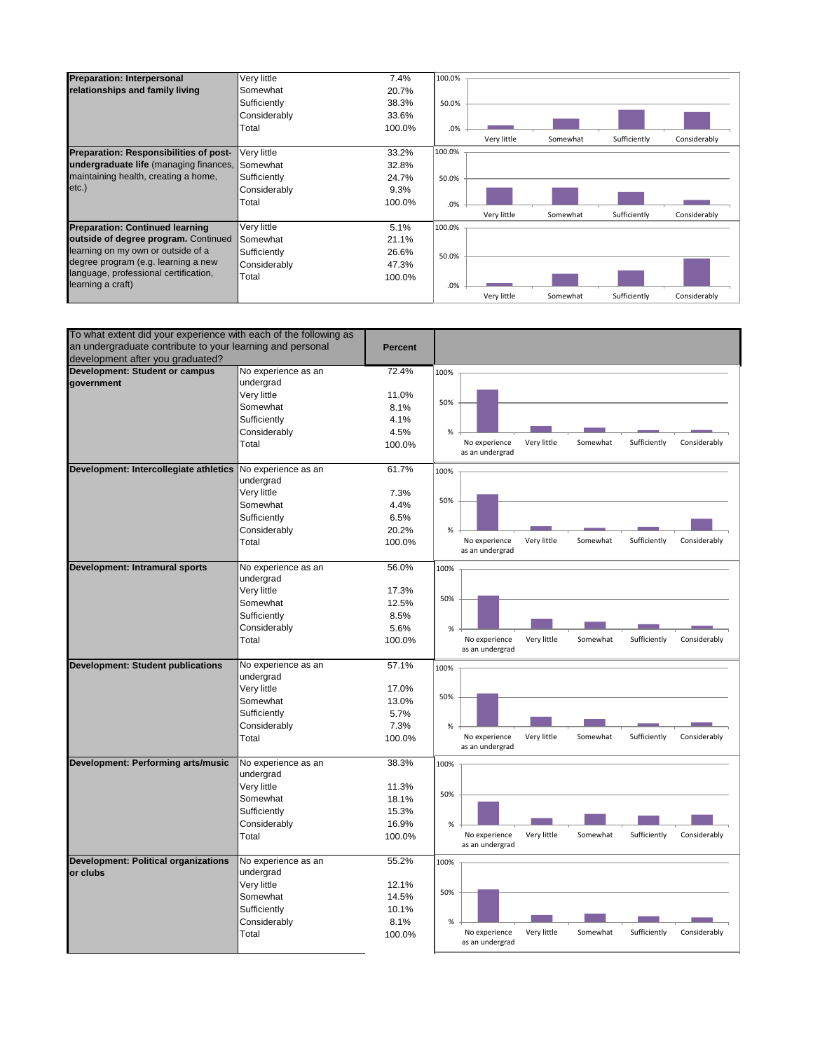| <b>Preparation: Interpersonal</b>      | Very little  | 7.4%   | 100.0%                                                  |
|----------------------------------------|--------------|--------|---------------------------------------------------------|
| relationships and family living        | Somewhat     | 20.7%  |                                                         |
|                                        | Sufficiently | 38.3%  | 50.0%                                                   |
|                                        | Considerably | 33.6%  |                                                         |
|                                        | Total        | 100.0% | .0%                                                     |
|                                        |              |        | Considerably<br>Very little<br>Sufficiently<br>Somewhat |
| Preparation: Responsibilities of post- | Very little  | 33.2%  | 100.0%                                                  |
| undergraduate life (managing finances, | Somewhat     | 32.8%  |                                                         |
| maintaining health, creating a home,   | Sufficiently | 24.7%  | 50.0%                                                   |
| $etc.$ )                               | Considerably | 9.3%   |                                                         |
|                                        | Total        | 100.0% | .0%                                                     |
|                                        |              |        | Sufficiently<br>Considerably<br>Very little<br>Somewhat |
| <b>Preparation: Continued learning</b> | Very little  | 5.1%   | 100.0%                                                  |
| outside of degree program. Continued   | Somewhat     | 21.1%  |                                                         |
| learning on my own or outside of a     | Sufficiently | 26.6%  | 50.0%                                                   |
| degree program (e.g. learning a new    | Considerably | 47.3%  |                                                         |
| language, professional certification,  | Total        | 100.0% |                                                         |
| learning a craft)                      |              |        | .0%                                                     |
|                                        |              |        | Sufficiently<br>Considerably<br>Very little<br>Somewhat |

| To what extent did your experience with each of the following as |                                  |                |                                                                                             |
|------------------------------------------------------------------|----------------------------------|----------------|---------------------------------------------------------------------------------------------|
| an undergraduate contribute to your learning and personal        |                                  | <b>Percent</b> |                                                                                             |
| development after you graduated?                                 |                                  |                |                                                                                             |
| Development: Student or campus<br>government                     | No experience as an<br>undergrad | 72.4%          | 100%                                                                                        |
|                                                                  | Very little                      | 11.0%          |                                                                                             |
|                                                                  | Somewhat                         | 8.1%           | 50%                                                                                         |
|                                                                  | Sufficiently                     | 4.1%           |                                                                                             |
|                                                                  | Considerably                     | 4.5%           | %                                                                                           |
|                                                                  | Total                            | 100.0%         | Very little<br>Somewhat<br>Sufficiently<br>Considerably<br>No experience                    |
|                                                                  |                                  |                | as an undergrad                                                                             |
| Development: Intercollegiate athletics                           | No experience as an<br>undergrad | 61.7%          | 100%                                                                                        |
|                                                                  | Very little                      | 7.3%           |                                                                                             |
|                                                                  | Somewhat                         | 4.4%           | 50%                                                                                         |
|                                                                  | Sufficiently                     | 6.5%           |                                                                                             |
|                                                                  |                                  |                |                                                                                             |
|                                                                  | Considerably<br>Total            | 20.2%          | %<br>Very little<br>Sufficiently<br>Considerably<br>No experience<br>Somewhat               |
|                                                                  |                                  | 100.0%         | as an undergrad                                                                             |
| Development: Intramural sports                                   | No experience as an              | 56.0%          | 100%                                                                                        |
|                                                                  | undergrad                        |                |                                                                                             |
|                                                                  | Very little                      | 17.3%          | 50%                                                                                         |
|                                                                  | Somewhat                         | 12.5%          |                                                                                             |
|                                                                  | Sufficiently                     | 8.5%           |                                                                                             |
|                                                                  | Considerably                     | 5.6%           | %                                                                                           |
|                                                                  | Total                            | 100.0%         | No experience<br>Very little<br>Somewhat<br>Sufficiently<br>Considerably<br>as an undergrad |
|                                                                  |                                  |                |                                                                                             |
| <b>Development: Student publications</b>                         | No experience as an              | 57.1%          | 100%                                                                                        |
|                                                                  | undergrad                        |                |                                                                                             |
|                                                                  | Very little                      | 17.0%          | 50%                                                                                         |
|                                                                  | Somewhat                         | 13.0%          |                                                                                             |
|                                                                  | Sufficiently                     | 5.7%           |                                                                                             |
|                                                                  | Considerably                     | 7.3%           | $\%$                                                                                        |
|                                                                  | Total                            | 100.0%         | Very little<br>Somewhat<br>Sufficiently<br>No experience<br>Considerably<br>as an undergrad |
| Development: Performing arts/music                               | No experience as an              | 38.3%          | 100%                                                                                        |
|                                                                  | undergrad                        |                |                                                                                             |
|                                                                  | Very little                      | 11.3%          |                                                                                             |
|                                                                  | Somewhat                         | 18.1%          | 50%                                                                                         |
|                                                                  | Sufficiently                     | 15.3%          |                                                                                             |
|                                                                  | Considerably                     | 16.9%          | %                                                                                           |
|                                                                  | Total                            | 100.0%         | Very little<br>Somewhat<br>Sufficiently<br>Considerably<br>No experience                    |
|                                                                  |                                  |                | as an undergrad                                                                             |
| <b>Development: Political organizations</b>                      | No experience as an              | 55.2%          | 100%                                                                                        |
| or clubs                                                         | undergrad                        |                |                                                                                             |
|                                                                  | Very little                      | 12.1%          | 50%                                                                                         |
|                                                                  | Somewhat                         | 14.5%          |                                                                                             |
|                                                                  | Sufficiently                     | 10.1%          |                                                                                             |
|                                                                  | Considerably                     | 8.1%           | %                                                                                           |
|                                                                  | Total                            | 100.0%         | Very little<br>Sufficiently<br>No experience<br>Somewhat<br>Considerably<br>as an undergrad |
|                                                                  |                                  |                |                                                                                             |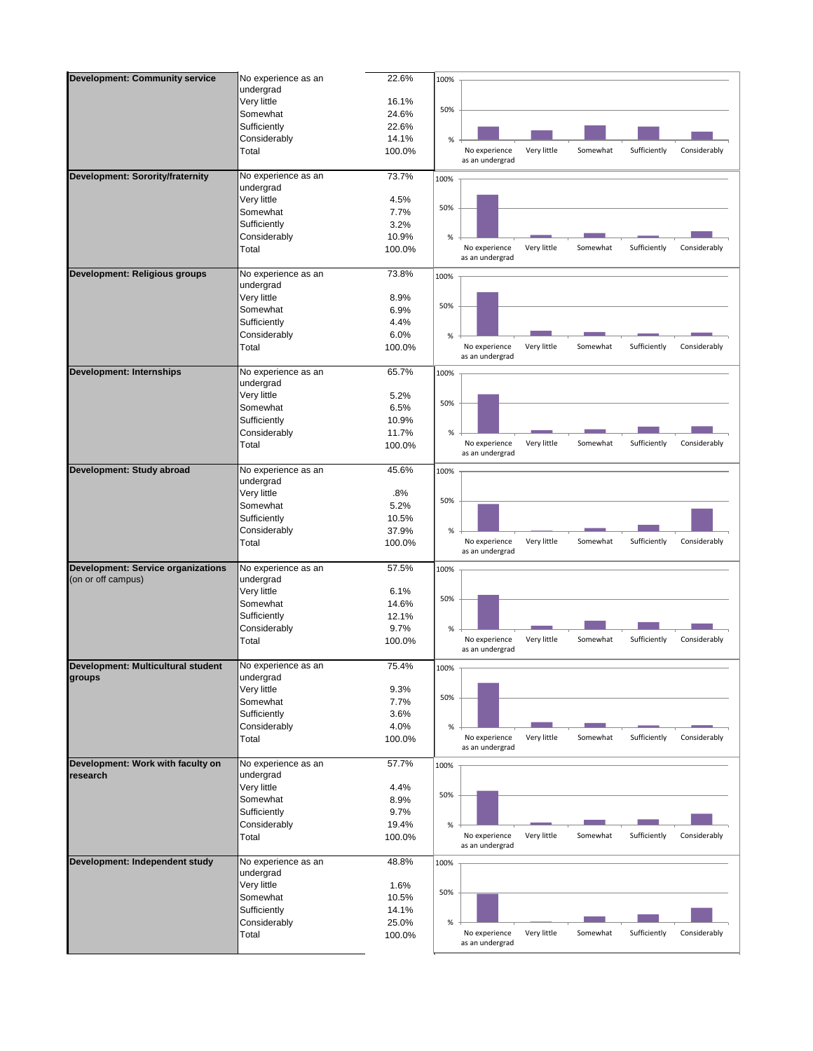| <b>Development: Community service</b>     | No experience as an | 22.6%  | 100% |                                  |             |          |              |              |
|-------------------------------------------|---------------------|--------|------|----------------------------------|-------------|----------|--------------|--------------|
|                                           | undergrad           |        |      |                                  |             |          |              |              |
|                                           | Very little         | 16.1%  |      |                                  |             |          |              |              |
|                                           | Somewhat            | 24.6%  | 50%  |                                  |             |          |              |              |
|                                           | Sufficiently        | 22.6%  |      |                                  |             |          |              |              |
|                                           | Considerably        | 14.1%  | %    |                                  |             |          |              |              |
|                                           | Total               | 100.0% |      | No experience                    | Very little | Somewhat | Sufficiently | Considerably |
|                                           |                     |        |      | as an undergrad                  |             |          |              |              |
| Development: Sorority/fraternity          | No experience as an | 73.7%  | 100% |                                  |             |          |              |              |
|                                           | undergrad           |        |      |                                  |             |          |              |              |
|                                           | Very little         | 4.5%   |      |                                  |             |          |              |              |
|                                           | Somewhat            | 7.7%   | 50%  |                                  |             |          |              |              |
|                                           | Sufficiently        | 3.2%   |      |                                  |             |          |              |              |
|                                           | Considerably        | 10.9%  | $\%$ |                                  |             |          |              |              |
|                                           | Total               | 100.0% |      | No experience                    | Very little | Somewhat | Sufficiently | Considerably |
|                                           |                     |        |      | as an undergrad                  |             |          |              |              |
| Development: Religious groups             | No experience as an | 73.8%  | 100% |                                  |             |          |              |              |
|                                           | undergrad           |        |      |                                  |             |          |              |              |
|                                           | Very little         | 8.9%   |      |                                  |             |          |              |              |
|                                           | Somewhat            | 6.9%   | 50%  |                                  |             |          |              |              |
|                                           | Sufficiently        | 4.4%   |      |                                  |             |          |              |              |
|                                           | Considerably        | 6.0%   | $\%$ |                                  |             |          |              |              |
|                                           | Total               | 100.0% |      | No experience                    | Very little | Somewhat | Sufficiently | Considerably |
|                                           |                     |        |      | as an undergrad                  |             |          |              |              |
| <b>Development: Internships</b>           | No experience as an | 65.7%  | 100% |                                  |             |          |              |              |
|                                           | undergrad           |        |      |                                  |             |          |              |              |
|                                           | Very little         | 5.2%   | 50%  |                                  |             |          |              |              |
|                                           | Somewhat            | 6.5%   |      |                                  |             |          |              |              |
|                                           | Sufficiently        | 10.9%  |      |                                  |             |          |              |              |
|                                           | Considerably        | 11.7%  | $\%$ |                                  |             |          |              |              |
|                                           | Total               | 100.0% |      | No experience                    | Very little | Somewhat | Sufficiently | Considerably |
|                                           |                     |        |      | as an undergrad                  |             |          |              |              |
| Development: Study abroad                 | No experience as an | 45.6%  | 100% |                                  |             |          |              |              |
|                                           | undergrad           |        |      |                                  |             |          |              |              |
|                                           | Very little         | .8%    | 50%  |                                  |             |          |              |              |
|                                           | Somewhat            | 5.2%   |      |                                  |             |          |              |              |
|                                           | Sufficiently        | 10.5%  |      |                                  |             |          |              |              |
|                                           | Considerably        | 37.9%  | %    |                                  |             |          |              |              |
|                                           | Total               | 100.0% |      | No experience<br>as an undergrad | Very little | Somewhat | Sufficiently | Considerably |
| <b>Development: Service organizations</b> | No experience as an | 57.5%  |      |                                  |             |          |              |              |
| (on or off campus)                        | undergrad           |        | 100% |                                  |             |          |              |              |
|                                           | Very little         | 6.1%   |      |                                  |             |          |              |              |
|                                           | Somewhat            | 14.6%  | 50%  |                                  |             |          |              |              |
|                                           | Sufficiently        | 12.1%  |      |                                  |             |          |              |              |
|                                           | Considerably        | 9.7%   | $\%$ |                                  |             |          |              |              |
|                                           | Total               | 100.0% |      | No experience                    | Very little | Somewhat | Sufficiently | Considerably |
|                                           |                     |        |      | as an undergrad                  |             |          |              |              |
| Development: Multicultural student        | No experience as an | 75.4%  | 100% |                                  |             |          |              |              |
| groups                                    | undergrad           |        |      |                                  |             |          |              |              |
|                                           | Very little         | 9.3%   |      |                                  |             |          |              |              |
|                                           | Somewhat            | 7.7%   | 50%  |                                  |             |          |              |              |
|                                           | Sufficiently        | 3.6%   |      |                                  |             |          |              |              |
|                                           | Considerably        | 4.0%   | $\%$ |                                  |             |          |              |              |
|                                           | Total               | 100.0% |      | No experience                    | Very little | Somewhat | Sufficiently | Considerably |
|                                           |                     |        |      | as an undergrad                  |             |          |              |              |
| Development: Work with faculty on         | No experience as an | 57.7%  | 100% |                                  |             |          |              |              |
| research                                  | undergrad           |        |      |                                  |             |          |              |              |
|                                           | Very little         | 4.4%   |      |                                  |             |          |              |              |
|                                           | Somewhat            | 8.9%   | 50%  |                                  |             |          |              |              |
|                                           | Sufficiently        | 9.7%   |      |                                  |             |          |              |              |
|                                           | Considerably        | 19.4%  | %    |                                  |             |          |              |              |
|                                           | Total               | 100.0% |      | No experience                    | Very little | Somewhat | Sufficiently | Considerably |
|                                           |                     |        |      | as an undergrad                  |             |          |              |              |
| Development: Independent study            | No experience as an | 48.8%  | 100% |                                  |             |          |              |              |
|                                           | undergrad           |        |      |                                  |             |          |              |              |
|                                           | Very little         | 1.6%   | 50%  |                                  |             |          |              |              |
|                                           | Somewhat            | 10.5%  |      |                                  |             |          |              |              |
|                                           | Sufficiently        | 14.1%  |      |                                  |             |          |              |              |
|                                           | Considerably        | 25.0%  | %    |                                  |             |          |              |              |
|                                           | Total               | 100.0% |      | No experience<br>as an undergrad | Very little | Somewhat | Sufficiently | Considerably |
|                                           |                     |        |      |                                  |             |          |              |              |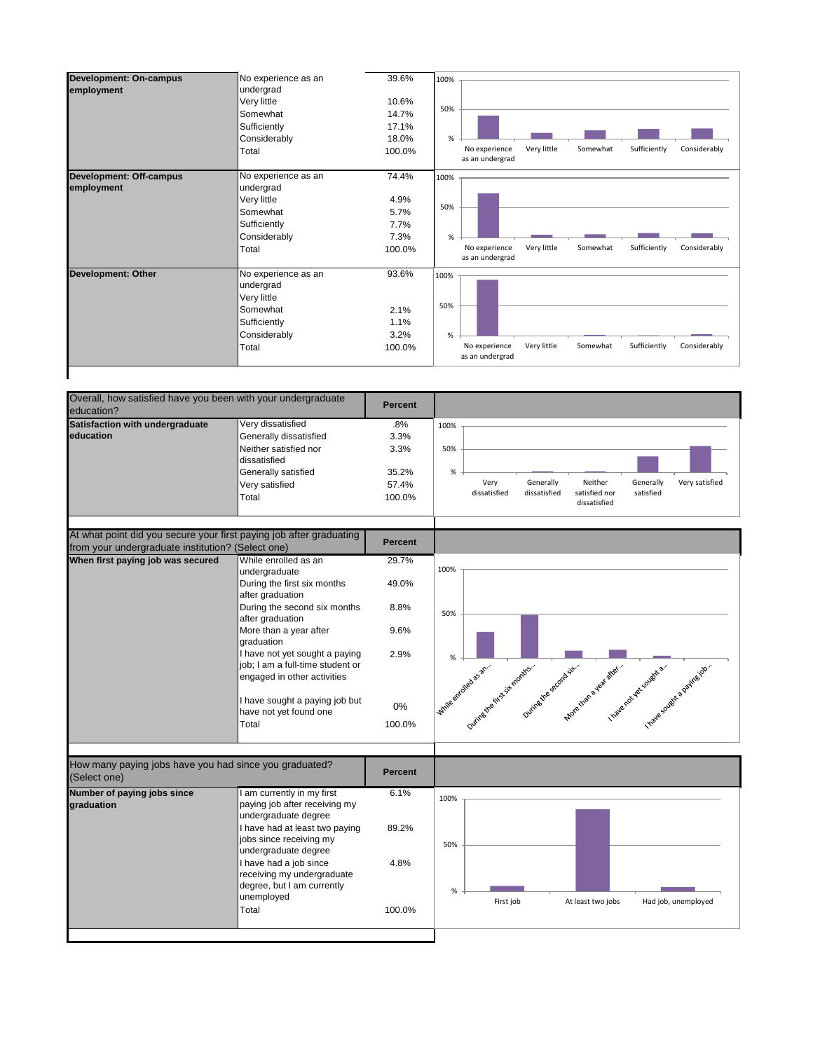| <b>Development: On-campus</b>  | No experience as an<br>undergrad | 39.6%  | 100%                                                                                        |
|--------------------------------|----------------------------------|--------|---------------------------------------------------------------------------------------------|
| employment                     | Very little                      | 10.6%  |                                                                                             |
|                                | Somewhat                         | 14.7%  | 50%                                                                                         |
|                                | Sufficiently                     | 17.1%  |                                                                                             |
|                                | Considerably                     | 18.0%  | %                                                                                           |
|                                | Total                            | 100.0% | Very little<br>Sufficiently<br>No experience<br>Somewhat<br>Considerably<br>as an undergrad |
| <b>Development: Off-campus</b> | No experience as an              | 74.4%  | 100%                                                                                        |
| employment                     | undergrad                        |        |                                                                                             |
|                                | Very little                      | 4.9%   |                                                                                             |
|                                | Somewhat                         | 5.7%   | 50%                                                                                         |
|                                | Sufficiently                     | 7.7%   |                                                                                             |
|                                | Considerably                     | 7.3%   | %                                                                                           |
|                                | Total                            | 100.0% | Very little<br>Sufficiently<br>Considerably<br>No experience<br>Somewhat<br>as an undergrad |
| <b>Development: Other</b>      | No experience as an              | 93.6%  | 100%                                                                                        |
|                                | undergrad                        |        |                                                                                             |
|                                | Very little                      |        |                                                                                             |
|                                | Somewhat                         | 2.1%   | 50%                                                                                         |
|                                | Sufficiently                     | 1.1%   |                                                                                             |
|                                | Considerably                     | 3.2%   | %                                                                                           |
|                                | Total                            | 100.0% | Sufficiently<br>Somewhat<br>Considerably<br>No experience<br>Very little<br>as an undergrad |
|                                |                                  |        |                                                                                             |

| Overall, how satisfied have you been with your undergraduate<br>education?                                               |                                                                                                                                                                                                                                                                                                                                                                | <b>Percent</b>                                         |                                                                                                                                                                                              |
|--------------------------------------------------------------------------------------------------------------------------|----------------------------------------------------------------------------------------------------------------------------------------------------------------------------------------------------------------------------------------------------------------------------------------------------------------------------------------------------------------|--------------------------------------------------------|----------------------------------------------------------------------------------------------------------------------------------------------------------------------------------------------|
| Satisfaction with undergraduate<br>education                                                                             | Very dissatisfied<br>Generally dissatisfied<br>Neither satisfied nor<br>dissatisfied<br>Generally satisfied<br>Very satisfied<br>Total                                                                                                                                                                                                                         | .8%<br>3.3%<br>3.3%<br>35.2%<br>57.4%<br>100.0%        | 100%<br>50%<br>%<br>Neither<br>Generally<br>Very<br>Generally<br>Very satisfied<br>dissatisfied<br>satisfied nor<br>satisfied<br>dissatisfied<br>dissatisfied                                |
| At what point did you secure your first paying job after graduating<br>from your undergraduate institution? (Select one) |                                                                                                                                                                                                                                                                                                                                                                | <b>Percent</b>                                         |                                                                                                                                                                                              |
| When first paying job was secured                                                                                        | While enrolled as an<br>undergraduate<br>During the first six months<br>after graduation<br>During the second six months<br>after graduation<br>More than a year after<br>graduation<br>I have not yet sought a paying<br>job; I am a full-time student or<br>engaged in other activities<br>I have sought a paying job but<br>have not yet found one<br>Total | 29.7%<br>49.0%<br>8.8%<br>9.6%<br>2.9%<br>0%<br>100.0% | 100%<br>50%<br>%<br>I write entitled states<br>Duite diversification of the<br>During the second six-<br>Mole trans a vez ster.<br>I nave not yet cought a.<br>I nate could be a painted on. |
| How many paying jobs have you had since you graduated?<br>(Select one)                                                   |                                                                                                                                                                                                                                                                                                                                                                | <b>Percent</b>                                         |                                                                                                                                                                                              |
| Number of paying jobs since<br>graduation                                                                                | I am currently in my first<br>paying job after receiving my<br>undergraduate degree<br>I have had at least two paying<br>jobs since receiving my<br>undergraduate degree<br>I have had a job since<br>receiving my undergraduate<br>degree, but I am currently<br>unemployed<br>Total                                                                          | 6.1%<br>89.2%<br>4.8%<br>100.0%                        | 100%<br>50%<br>%<br>First job<br>Had job, unemployed<br>At least two jobs                                                                                                                    |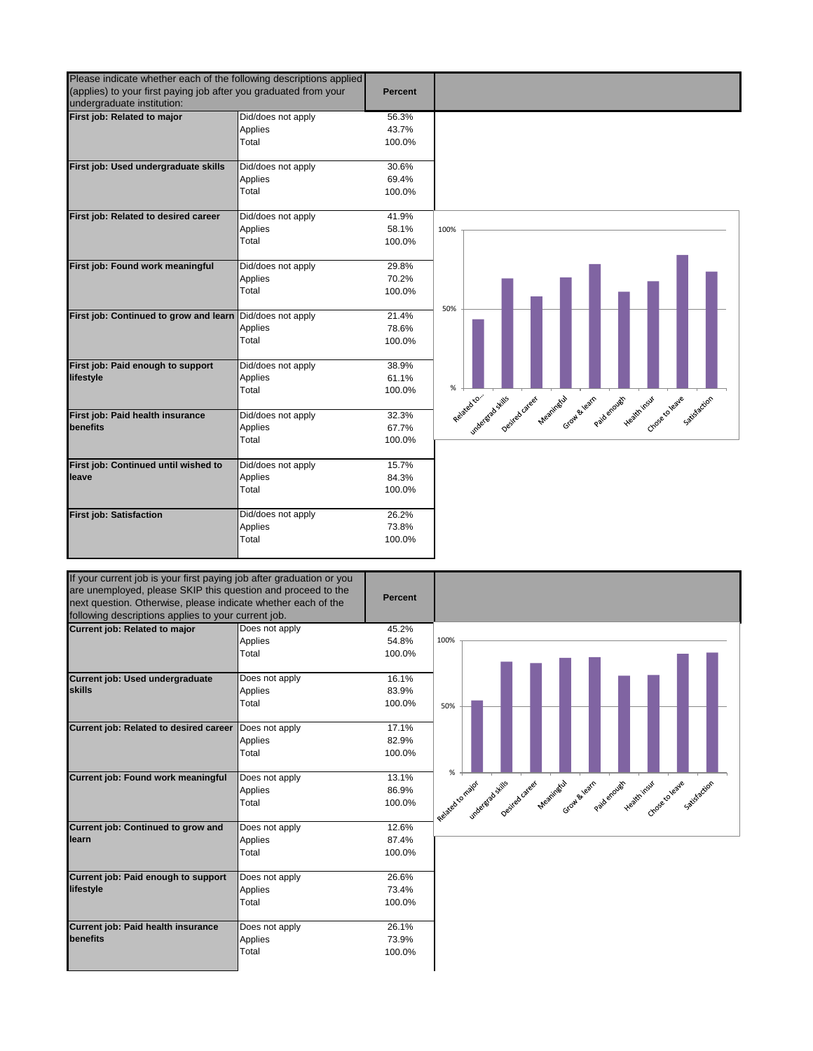| Please indicate whether each of the following descriptions applied                                                                                                                                                                                                                                                                                                                                                                                                                                                            |                               |                 |                                                                                                                           |
|-------------------------------------------------------------------------------------------------------------------------------------------------------------------------------------------------------------------------------------------------------------------------------------------------------------------------------------------------------------------------------------------------------------------------------------------------------------------------------------------------------------------------------|-------------------------------|-----------------|---------------------------------------------------------------------------------------------------------------------------|
|                                                                                                                                                                                                                                                                                                                                                                                                                                                                                                                               |                               |                 |                                                                                                                           |
| (applies) to your first paying job after you graduated from your                                                                                                                                                                                                                                                                                                                                                                                                                                                              |                               | <b>Percent</b>  |                                                                                                                           |
| undergraduate institution:                                                                                                                                                                                                                                                                                                                                                                                                                                                                                                    |                               |                 |                                                                                                                           |
| First job: Related to major                                                                                                                                                                                                                                                                                                                                                                                                                                                                                                   | Did/does not apply<br>Applies | 56.3%<br>43.7%  |                                                                                                                           |
|                                                                                                                                                                                                                                                                                                                                                                                                                                                                                                                               | Total                         | 100.0%          |                                                                                                                           |
|                                                                                                                                                                                                                                                                                                                                                                                                                                                                                                                               |                               |                 |                                                                                                                           |
| First job: Used undergraduate skills                                                                                                                                                                                                                                                                                                                                                                                                                                                                                          | Did/does not apply            | 30.6%           |                                                                                                                           |
|                                                                                                                                                                                                                                                                                                                                                                                                                                                                                                                               | Applies                       | 69.4%           |                                                                                                                           |
|                                                                                                                                                                                                                                                                                                                                                                                                                                                                                                                               | Total                         | 100.0%          |                                                                                                                           |
|                                                                                                                                                                                                                                                                                                                                                                                                                                                                                                                               |                               |                 |                                                                                                                           |
| First job: Related to desired career                                                                                                                                                                                                                                                                                                                                                                                                                                                                                          | Did/does not apply            | 41.9%           |                                                                                                                           |
|                                                                                                                                                                                                                                                                                                                                                                                                                                                                                                                               | Applies                       | 58.1%           | 100%                                                                                                                      |
|                                                                                                                                                                                                                                                                                                                                                                                                                                                                                                                               | Total                         | 100.0%          |                                                                                                                           |
|                                                                                                                                                                                                                                                                                                                                                                                                                                                                                                                               |                               |                 |                                                                                                                           |
| First job: Found work meaningful                                                                                                                                                                                                                                                                                                                                                                                                                                                                                              | Did/does not apply            | 29.8%           |                                                                                                                           |
|                                                                                                                                                                                                                                                                                                                                                                                                                                                                                                                               | Applies                       | 70.2%           |                                                                                                                           |
|                                                                                                                                                                                                                                                                                                                                                                                                                                                                                                                               | Total                         | 100.0%          |                                                                                                                           |
|                                                                                                                                                                                                                                                                                                                                                                                                                                                                                                                               |                               | 21.4%           | 50%                                                                                                                       |
| First job: Continued to grow and learn                                                                                                                                                                                                                                                                                                                                                                                                                                                                                        | Did/does not apply            |                 |                                                                                                                           |
|                                                                                                                                                                                                                                                                                                                                                                                                                                                                                                                               | Applies<br>Total              | 78.6%<br>100.0% |                                                                                                                           |
|                                                                                                                                                                                                                                                                                                                                                                                                                                                                                                                               |                               |                 |                                                                                                                           |
| First job: Paid enough to support                                                                                                                                                                                                                                                                                                                                                                                                                                                                                             | Did/does not apply            | 38.9%           |                                                                                                                           |
| lifestyle                                                                                                                                                                                                                                                                                                                                                                                                                                                                                                                     | Applies                       | 61.1%           |                                                                                                                           |
|                                                                                                                                                                                                                                                                                                                                                                                                                                                                                                                               | Total                         | 100.0%          | %                                                                                                                         |
|                                                                                                                                                                                                                                                                                                                                                                                                                                                                                                                               |                               |                 | sed to consider the state of the property of the world special weather the considerable special section of<br>Related to. |
| First job: Paid health insurance                                                                                                                                                                                                                                                                                                                                                                                                                                                                                              | Did/does not apply            | 32.3%           |                                                                                                                           |
| benefits                                                                                                                                                                                                                                                                                                                                                                                                                                                                                                                      | Applies                       | 67.7%           |                                                                                                                           |
|                                                                                                                                                                                                                                                                                                                                                                                                                                                                                                                               | Total                         | 100.0%          |                                                                                                                           |
|                                                                                                                                                                                                                                                                                                                                                                                                                                                                                                                               |                               |                 |                                                                                                                           |
| First job: Continued until wished to                                                                                                                                                                                                                                                                                                                                                                                                                                                                                          | Did/does not apply            | 15.7%           |                                                                                                                           |
| leave                                                                                                                                                                                                                                                                                                                                                                                                                                                                                                                         | Applies                       | 84.3%           |                                                                                                                           |
|                                                                                                                                                                                                                                                                                                                                                                                                                                                                                                                               | Total                         | 100.0%          |                                                                                                                           |
|                                                                                                                                                                                                                                                                                                                                                                                                                                                                                                                               |                               |                 |                                                                                                                           |
| <b>First job: Satisfaction</b>                                                                                                                                                                                                                                                                                                                                                                                                                                                                                                | Did/does not apply            | 26.2%           |                                                                                                                           |
|                                                                                                                                                                                                                                                                                                                                                                                                                                                                                                                               | Applies                       | 73.8%           |                                                                                                                           |
|                                                                                                                                                                                                                                                                                                                                                                                                                                                                                                                               | Total                         | 100.0%          |                                                                                                                           |
|                                                                                                                                                                                                                                                                                                                                                                                                                                                                                                                               |                               |                 |                                                                                                                           |
|                                                                                                                                                                                                                                                                                                                                                                                                                                                                                                                               |                               | <b>Percent</b>  |                                                                                                                           |
|                                                                                                                                                                                                                                                                                                                                                                                                                                                                                                                               |                               |                 |                                                                                                                           |
|                                                                                                                                                                                                                                                                                                                                                                                                                                                                                                                               | Does not apply                | 45.2%           |                                                                                                                           |
|                                                                                                                                                                                                                                                                                                                                                                                                                                                                                                                               | Applies                       | 54.8%           | 100%                                                                                                                      |
|                                                                                                                                                                                                                                                                                                                                                                                                                                                                                                                               | Total                         | 100.0%          |                                                                                                                           |
|                                                                                                                                                                                                                                                                                                                                                                                                                                                                                                                               | Does not apply                | 16.1%           |                                                                                                                           |
|                                                                                                                                                                                                                                                                                                                                                                                                                                                                                                                               | Applies                       | 83.9%           |                                                                                                                           |
|                                                                                                                                                                                                                                                                                                                                                                                                                                                                                                                               | Total                         | 100.0%          |                                                                                                                           |
|                                                                                                                                                                                                                                                                                                                                                                                                                                                                                                                               |                               |                 | 50%                                                                                                                       |
|                                                                                                                                                                                                                                                                                                                                                                                                                                                                                                                               | Does not apply                | 17.1%           |                                                                                                                           |
|                                                                                                                                                                                                                                                                                                                                                                                                                                                                                                                               | Applies                       | 82.9%           |                                                                                                                           |
|                                                                                                                                                                                                                                                                                                                                                                                                                                                                                                                               | Total                         | 100.0%          |                                                                                                                           |
|                                                                                                                                                                                                                                                                                                                                                                                                                                                                                                                               |                               |                 |                                                                                                                           |
|                                                                                                                                                                                                                                                                                                                                                                                                                                                                                                                               | Does not apply                | 13.1%           | $\%$                                                                                                                      |
|                                                                                                                                                                                                                                                                                                                                                                                                                                                                                                                               | Applies                       | 86.9%           |                                                                                                                           |
|                                                                                                                                                                                                                                                                                                                                                                                                                                                                                                                               | Total                         | 100.0%          |                                                                                                                           |
|                                                                                                                                                                                                                                                                                                                                                                                                                                                                                                                               |                               |                 | Meanington<br>Grow & learn<br>Paid enough                                                                                 |
|                                                                                                                                                                                                                                                                                                                                                                                                                                                                                                                               | Does not apply                | 12.6%           | / Related to major<br>u u vincolargida stills<br>blau service career                                                      |
|                                                                                                                                                                                                                                                                                                                                                                                                                                                                                                                               | Applies                       | 87.4%           |                                                                                                                           |
|                                                                                                                                                                                                                                                                                                                                                                                                                                                                                                                               | Total                         | 100.0%          |                                                                                                                           |
|                                                                                                                                                                                                                                                                                                                                                                                                                                                                                                                               |                               |                 |                                                                                                                           |
|                                                                                                                                                                                                                                                                                                                                                                                                                                                                                                                               | Does not apply                | 26.6%           |                                                                                                                           |
|                                                                                                                                                                                                                                                                                                                                                                                                                                                                                                                               | Applies                       | 73.4%           |                                                                                                                           |
|                                                                                                                                                                                                                                                                                                                                                                                                                                                                                                                               | Total                         | 100.0%          |                                                                                                                           |
| If your current job is your first paying job after graduation or you<br>are unemployed, please SKIP this question and proceed to the<br>next question. Otherwise, please indicate whether each of the<br>following descriptions applies to your current job.<br>Current job: Related to major<br>Current job: Used undergraduate<br>skills<br>Current job: Related to desired career<br>Current job: Found work meaningful<br>Current job: Continued to grow and<br>learn<br>Current job: Paid enough to support<br>lifestyle |                               |                 |                                                                                                                           |
| Current job: Paid health insurance                                                                                                                                                                                                                                                                                                                                                                                                                                                                                            | Does not apply                | 26.1%           |                                                                                                                           |
| benefits                                                                                                                                                                                                                                                                                                                                                                                                                                                                                                                      | Applies                       | 73.9%           | rough ready riset of coverage save contraction                                                                            |
|                                                                                                                                                                                                                                                                                                                                                                                                                                                                                                                               | Total                         | 100.0%          |                                                                                                                           |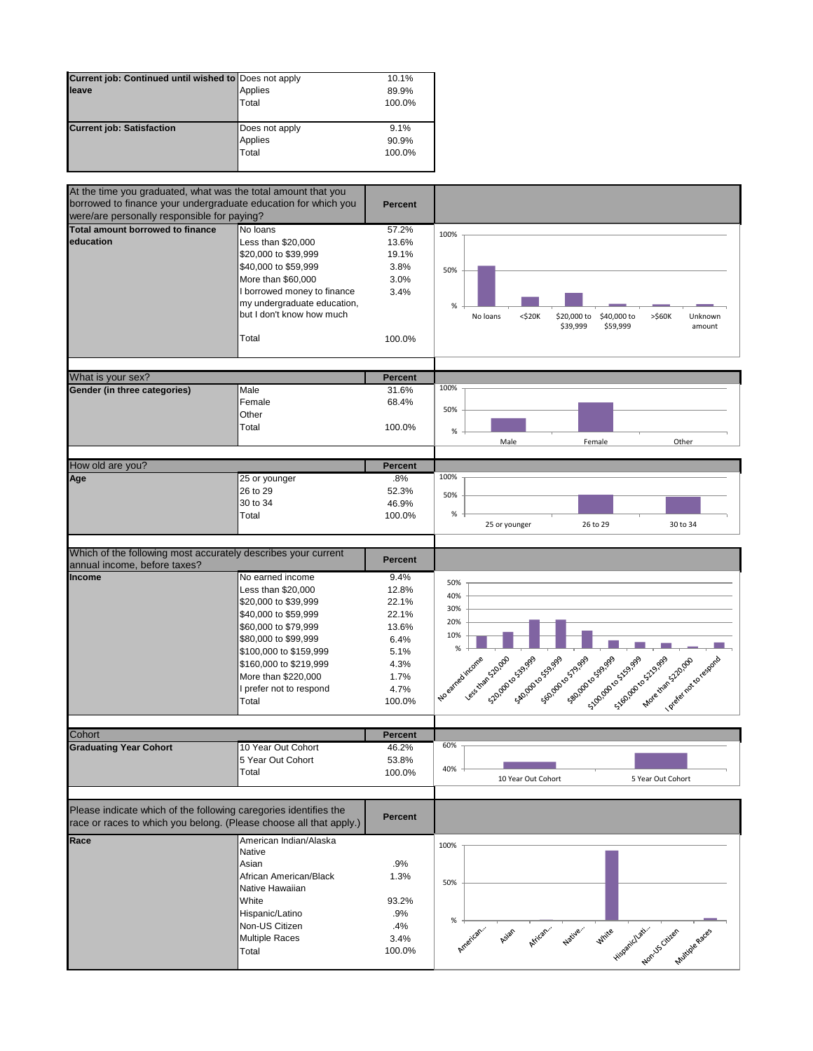| Current job: Continued until wished to Does not apply |                | 10.1%  |
|-------------------------------------------------------|----------------|--------|
| lleave                                                | Applies        | 89.9%  |
|                                                       | Total          | 100.0% |
|                                                       |                |        |
| <b>Current job: Satisfaction</b>                      | Does not apply | 9.1%   |
|                                                       | Applies        | 90.9%  |
|                                                       | Total          | 100.0% |
|                                                       |                |        |

| At the time you graduated, what was the total amount that you      |                             |                |                                                                                                              |
|--------------------------------------------------------------------|-----------------------------|----------------|--------------------------------------------------------------------------------------------------------------|
| borrowed to finance your undergraduate education for which you     |                             | <b>Percent</b> |                                                                                                              |
| were/are personally responsible for paying?                        |                             |                |                                                                                                              |
| Total amount borrowed to finance                                   | No loans                    | 57.2%          | 100%                                                                                                         |
| education                                                          | Less than \$20,000          | 13.6%          |                                                                                                              |
|                                                                    | \$20,000 to \$39,999        | 19.1%          |                                                                                                              |
|                                                                    | \$40,000 to \$59,999        | 3.8%           | 50%                                                                                                          |
|                                                                    | More than \$60,000          | 3.0%           |                                                                                                              |
|                                                                    | I borrowed money to finance | 3.4%           |                                                                                                              |
|                                                                    | my undergraduate education, |                | %                                                                                                            |
|                                                                    | but I don't know how much   |                | $<$ \$20 $K$<br>\$20,000 to<br>\$40,000 to<br>$>$ \$60 $K$<br>No loans<br>Unknown                            |
|                                                                    |                             |                | \$39,999<br>\$59,999<br>amount                                                                               |
|                                                                    | Total                       | 100.0%         |                                                                                                              |
|                                                                    |                             |                |                                                                                                              |
|                                                                    |                             |                |                                                                                                              |
| What is your sex?                                                  |                             | <b>Percent</b> |                                                                                                              |
| Gender (in three categories)                                       | Male                        | 31.6%          | 100%                                                                                                         |
|                                                                    | Female                      | 68.4%          |                                                                                                              |
|                                                                    | Other                       |                | 50%                                                                                                          |
|                                                                    | Total                       | 100.0%         | $\%$                                                                                                         |
|                                                                    |                             |                | Male<br>Female<br>Other                                                                                      |
|                                                                    |                             |                |                                                                                                              |
| How old are you?                                                   |                             | <b>Percent</b> |                                                                                                              |
| Age                                                                | 25 or younger               | .8%            | 100%                                                                                                         |
|                                                                    | 26 to 29                    | 52.3%          | 50%                                                                                                          |
|                                                                    | 30 to 34                    | 46.9%          |                                                                                                              |
|                                                                    | Total                       | 100.0%         | %                                                                                                            |
|                                                                    |                             |                | 25 or younger<br>26 to 29<br>30 to 34                                                                        |
|                                                                    |                             |                |                                                                                                              |
| Which of the following most accurately describes your current      |                             | <b>Percent</b> |                                                                                                              |
| annual income, before taxes?                                       |                             |                |                                                                                                              |
| Income                                                             | No earned income            | 9.4%           | 50%                                                                                                          |
|                                                                    | Less than \$20,000          | 12.8%          | 40%                                                                                                          |
|                                                                    | \$20,000 to \$39,999        | 22.1%          | 30%                                                                                                          |
|                                                                    | \$40,000 to \$59,999        | 22.1%          | 20%                                                                                                          |
|                                                                    | \$60,000 to \$79,999        | 13.6%          | 10%                                                                                                          |
|                                                                    | \$80,000 to \$99,999        | 6.4%           |                                                                                                              |
|                                                                    | \$100,000 to \$159,999      | 5.1%           | $\%$                                                                                                         |
|                                                                    | \$160,000 to \$219,999      | 4.3%           |                                                                                                              |
|                                                                    | More than \$220,000         | 1.7%           |                                                                                                              |
|                                                                    | I prefer not to respond     | 4.7%           |                                                                                                              |
|                                                                    | Total                       | 100.0%         | s same start and start and start and start and<br>Les transforces<br>520-09-40-539-999<br>I No earned income |
|                                                                    |                             |                | I vegenda to response                                                                                        |
| Cohort                                                             |                             | <b>Percent</b> |                                                                                                              |
| <b>Graduating Year Cohort</b>                                      | 10 Year Out Cohort          | 46.2%          | 60%                                                                                                          |
|                                                                    |                             |                |                                                                                                              |
|                                                                    | 5 Year Out Cohort           | 53.8%          | 40%                                                                                                          |
|                                                                    | Total                       | 100.0%         | 10 Year Out Cohort<br>5 Year Out Cohort                                                                      |
|                                                                    |                             |                |                                                                                                              |
| Please indicate which of the following caregories identifies the   |                             |                |                                                                                                              |
| race or races to which you belong. (Please choose all that apply.) |                             | <b>Percent</b> |                                                                                                              |
|                                                                    |                             |                |                                                                                                              |
| Race                                                               | American Indian/Alaska      |                | 100%                                                                                                         |
|                                                                    | Native                      |                |                                                                                                              |
|                                                                    | Asian                       | .9%            |                                                                                                              |
|                                                                    | African American/Black      | 1.3%           | 50%                                                                                                          |
|                                                                    | Native Hawaiian             |                |                                                                                                              |
|                                                                    | White                       | 93.2%          |                                                                                                              |
|                                                                    | Hispanic/Latino             | .9%            |                                                                                                              |
|                                                                    | Non-US Citizen              | .4%            | %                                                                                                            |
|                                                                    | <b>Multiple Races</b>       | 3.4%           | Hirls Hispanichael Citres Antique Races<br>Native."<br>African.<br>American.<br>Asian                        |
|                                                                    | Total                       | 100.0%         |                                                                                                              |
|                                                                    |                             |                |                                                                                                              |